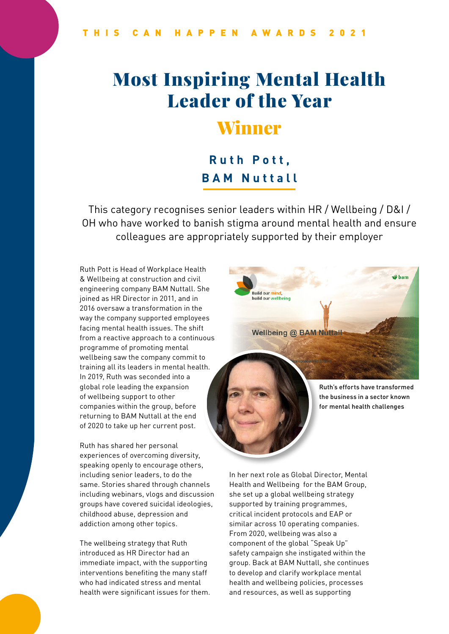# Most Inspiring Mental Health Leader of the Year

### Winner

### **Ruth Pott, BAM Nuttall**

This category recognises senior leaders within HR / Wellbeing / D&I / OH who have worked to banish stigma around mental health and ensure colleagues are appropriately supported by their employer

Ruth Pott is Head of Workplace Health & Wellbeing at construction and civil engineering company BAM Nuttall. She joined as HR Director in 2011, and in 2016 oversaw a transformation in the way the company supported employees facing mental health issues. The shift from a reactive approach to a continuous programme of promoting mental wellbeing saw the company commit to training all its leaders in mental health. In 2019, Ruth was seconded into a global role leading the expansion of wellbeing support to other companies within the group, before returning to BAM Nuttall at the end of 2020 to take up her current post.

Ruth has shared her personal experiences of overcoming diversity, speaking openly to encourage others, including senior leaders, to do the same. Stories shared through channels including webinars, vlogs and discussion groups have covered suicidal ideologies, childhood abuse, depression and addiction among other topics.

The wellbeing strategy that Ruth introduced as HR Director had an immediate impact, with the supporting interventions benefiting the many staff who had indicated stress and mental health were significant issues for them.

**o** bam **Ruild our mind Wellbeing @ BAM Nuttall** 



Ruth's efforts have transformed the business in a sector known for mental health challenges

In her next role as Global Director, Mental Health and Wellbeing for the BAM Group, she set up a global wellbeing strategy supported by training programmes, critical incident protocols and EAP or similar across 10 operating companies. From 2020, wellbeing was also a component of the global "Speak Up" safety campaign she instigated within the group. Back at BAM Nuttall, she continues to develop and clarify workplace mental health and wellbeing policies, processes and resources, as well as supporting